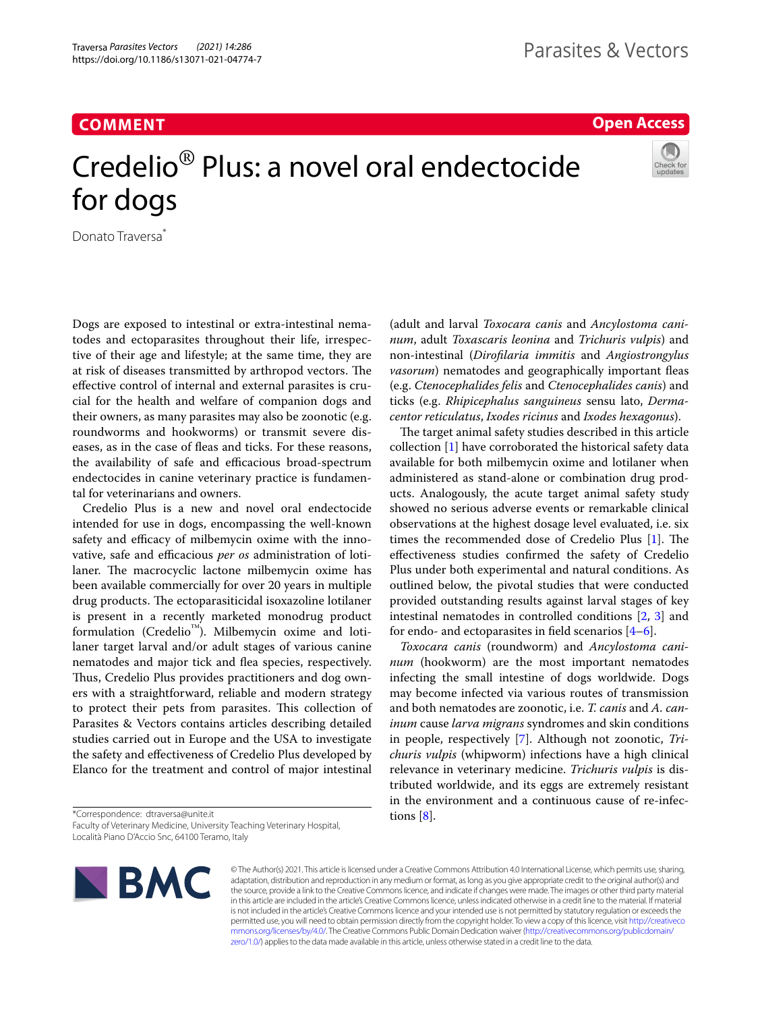**COMMENT**

## **Open Access**

# Credelio® Plus: a novel oral endectocide for dogs



Donato Traversa<sup>\*</sup>

Dogs are exposed to intestinal or extra-intestinal nematodes and ectoparasites throughout their life, irrespective of their age and lifestyle; at the same time, they are at risk of diseases transmitted by arthropod vectors. The efective control of internal and external parasites is crucial for the health and welfare of companion dogs and their owners, as many parasites may also be zoonotic (e.g. roundworms and hookworms) or transmit severe diseases, as in the case of fleas and ticks. For these reasons, the availability of safe and efficacious broad-spectrum endectocides in canine veterinary practice is fundamental for veterinarians and owners.

Credelio Plus is a new and novel oral endectocide intended for use in dogs, encompassing the well-known safety and efficacy of milbemycin oxime with the innovative, safe and efficacious *per os* administration of lotilaner. The macrocyclic lactone milbemycin oxime has been available commercially for over 20 years in multiple drug products. The ectoparasiticidal isoxazoline lotilaner is present in a recently marketed monodrug product formulation (Credelio<sup>™</sup>). Milbemycin oxime and lotilaner target larval and/or adult stages of various canine nematodes and major tick and fea species, respectively. Thus, Credelio Plus provides practitioners and dog owners with a straightforward, reliable and modern strategy to protect their pets from parasites. This collection of Parasites & Vectors contains articles describing detailed studies carried out in Europe and the USA to investigate the safety and efectiveness of Credelio Plus developed by Elanco for the treatment and control of major intestinal

\*Correspondence: dtraversa@unite.it

Faculty of Veterinary Medicine, University Teaching Veterinary Hospital, Località Piano D'Accio Snc, 64100 Teramo, Italy



© The Author(s) 2021. This article is licensed under a Creative Commons Attribution 4.0 International License, which permits use, sharing, adaptation, distribution and reproduction in any medium or format, as long as you give appropriate credit to the original author(s) and the source, provide a link to the Creative Commons licence, and indicate if changes were made. The images or other third party material in this article are included in the article's Creative Commons licence, unless indicated otherwise in a credit line to the material. If material is not included in the article's Creative Commons licence and your intended use is not permitted by statutory regulation or exceeds the permitted use, you will need to obtain permission directly from the copyright holder. To view a copy of this licence, visit [http://creativeco](http://creativecommons.org/licenses/by/4.0/) [mmons.org/licenses/by/4.0/.](http://creativecommons.org/licenses/by/4.0/) The Creative Commons Public Domain Dedication waiver ([http://creativecommons.org/publicdomain/](http://creativecommons.org/publicdomain/zero/1.0/) [zero/1.0/\)](http://creativecommons.org/publicdomain/zero/1.0/) applies to the data made available in this article, unless otherwise stated in a credit line to the data.

(adult and larval *Toxocara canis* and *Ancylostoma caninum*, adult *Toxascaris leonina* and *Trichuris vulpis*) and non-intestinal (*Diroflaria immitis* and *Angiostrongylus vasorum*) nematodes and geographically important feas (e.g. *Ctenocephalides felis* and *Ctenocephalides canis*) and ticks (e.g. *Rhipicephalus sanguineus* sensu lato, *Dermacentor reticulatus*, *Ixodes ricinus* and *Ixodes hexagonus*).

The target animal safety studies described in this article collection [[1\]](#page-2-0) have corroborated the historical safety data available for both milbemycin oxime and lotilaner when administered as stand-alone or combination drug products. Analogously, the acute target animal safety study showed no serious adverse events or remarkable clinical observations at the highest dosage level evaluated, i.e. six times the recommended dose of Credelio Plus  $[1]$  $[1]$ . The efectiveness studies confrmed the safety of Credelio Plus under both experimental and natural conditions. As outlined below, the pivotal studies that were conducted provided outstanding results against larval stages of key intestinal nematodes in controlled conditions [\[2](#page-2-1), [3\]](#page-2-2) and for endo- and ectoparasites in field scenarios  $[4-6]$  $[4-6]$ .

*Toxocara canis* (roundworm) and *Ancylostoma caninum* (hookworm) are the most important nematodes infecting the small intestine of dogs worldwide. Dogs may become infected via various routes of transmission and both nematodes are zoonotic, i.e. *T. canis* and *A. caninum* cause *larva migrans* syndromes and skin conditions in people, respectively [[7\]](#page-2-5). Although not zoonotic, *Trichuris vulpis* (whipworm) infections have a high clinical relevance in veterinary medicine. *Trichuris vulpis* is distributed worldwide, and its eggs are extremely resistant in the environment and a continuous cause of re-infections [[8](#page-2-6)].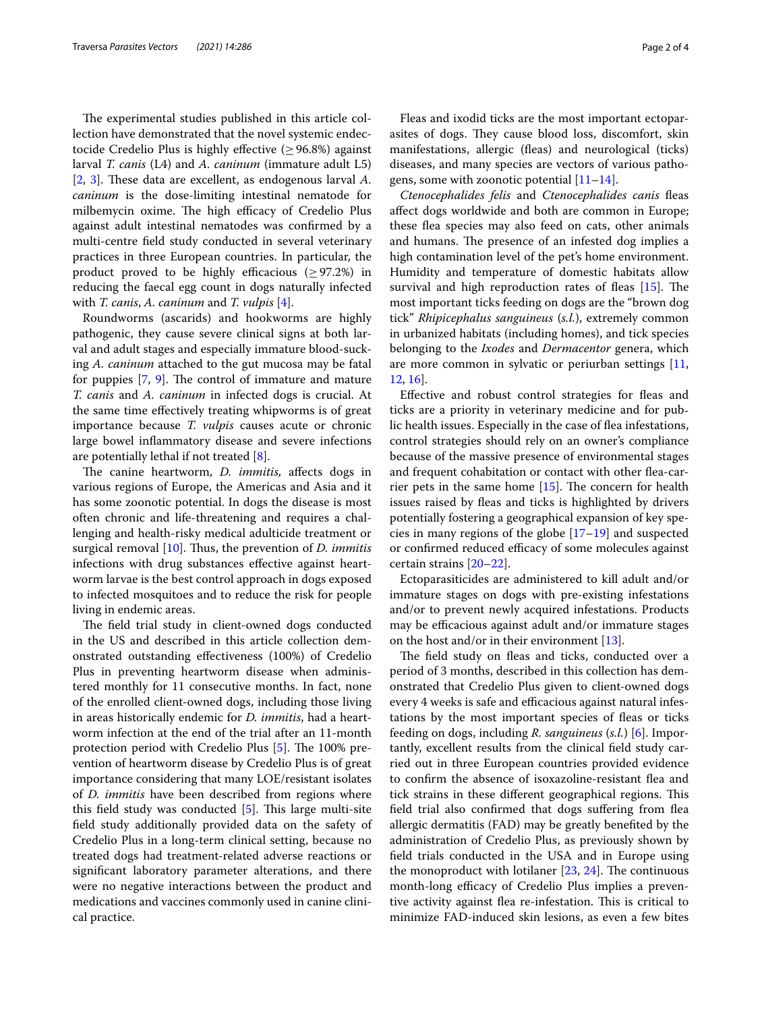The experimental studies published in this article collection have demonstrated that the novel systemic endectocide Credelio Plus is highly effective ( $\geq$  96.8%) against larval *T. canis* (L4) and *A. caninum* (immature adult L5) [[2,](#page-2-1) [3](#page-2-2)]. These data are excellent, as endogenous larval A. *caninum* is the dose-limiting intestinal nematode for milbemycin oxime. The high efficacy of Credelio Plus against adult intestinal nematodes was confrmed by a multi-centre feld study conducted in several veterinary practices in three European countries. In particular, the product proved to be highly efficacious ( $\geq$ 97.2%) in reducing the faecal egg count in dogs naturally infected with *T. canis*, *A. caninum* and *T. vulpis* [[4](#page-2-3)].

Roundworms (ascarids) and hookworms are highly pathogenic, they cause severe clinical signs at both larval and adult stages and especially immature blood-sucking *A. caninum* attached to the gut mucosa may be fatal for puppies  $[7, 9]$  $[7, 9]$  $[7, 9]$  $[7, 9]$  $[7, 9]$ . The control of immature and mature *T. canis* and *A. caninum* in infected dogs is crucial. At the same time efectively treating whipworms is of great importance because *T. vulpis* causes acute or chronic large bowel infammatory disease and severe infections are potentially lethal if not treated [[8\]](#page-2-6).

The canine heartworm, *D. immitis*, affects dogs in various regions of Europe, the Americas and Asia and it has some zoonotic potential. In dogs the disease is most often chronic and life-threatening and requires a challenging and health-risky medical adulticide treatment or surgical removal [\[10](#page-2-8)]. Thus, the prevention of *D. immitis* infections with drug substances efective against heartworm larvae is the best control approach in dogs exposed to infected mosquitoes and to reduce the risk for people living in endemic areas.

The field trial study in client-owned dogs conducted in the US and described in this article collection demonstrated outstanding efectiveness (100%) of Credelio Plus in preventing heartworm disease when administered monthly for 11 consecutive months. In fact, none of the enrolled client-owned dogs, including those living in areas historically endemic for *D. immitis*, had a heartworm infection at the end of the trial after an 11-month protection period with Credelio Plus  $[5]$  $[5]$ . The 100% prevention of heartworm disease by Credelio Plus is of great importance considering that many LOE/resistant isolates of *D. immitis* have been described from regions where this field study was conducted  $[5]$  $[5]$ . This large multi-site feld study additionally provided data on the safety of Credelio Plus in a long-term clinical setting, because no treated dogs had treatment-related adverse reactions or signifcant laboratory parameter alterations, and there were no negative interactions between the product and medications and vaccines commonly used in canine clinical practice.

Fleas and ixodid ticks are the most important ectoparasites of dogs. They cause blood loss, discomfort, skin manifestations, allergic (feas) and neurological (ticks) diseases, and many species are vectors of various pathogens, some with zoonotic potential  $[11-14]$  $[11-14]$ .

*Ctenocephalides felis* and *Ctenocephalides canis* feas afect dogs worldwide and both are common in Europe; these flea species may also feed on cats, other animals and humans. The presence of an infested dog implies a high contamination level of the pet's home environment. Humidity and temperature of domestic habitats allow survival and high reproduction rates of fleas  $[15]$  $[15]$  $[15]$ . The most important ticks feeding on dogs are the "brown dog tick" *Rhipicephalus sanguineus* (*s.l.*), extremely common in urbanized habitats (including homes), and tick species belonging to the *Ixodes* and *Dermacentor* genera, which are more common in sylvatic or periurban settings [[11](#page-2-10), [12,](#page-2-13) [16\]](#page-2-14).

Efective and robust control strategies for feas and ticks are a priority in veterinary medicine and for public health issues. Especially in the case of flea infestations, control strategies should rely on an owner's compliance because of the massive presence of environmental stages and frequent cohabitation or contact with other fea-carrier pets in the same home  $[15]$  $[15]$ . The concern for health issues raised by fleas and ticks is highlighted by drivers potentially fostering a geographical expansion of key species in many regions of the globe  $[17-19]$  $[17-19]$  and suspected or confirmed reduced efficacy of some molecules against certain strains [\[20](#page-2-17)–[22\]](#page-2-18).

Ectoparasiticides are administered to kill adult and/or immature stages on dogs with pre-existing infestations and/or to prevent newly acquired infestations. Products may be efficacious against adult and/or immature stages on the host and/or in their environment  $[13]$  $[13]$ .

The field study on fleas and ticks, conducted over a period of 3 months, described in this collection has demonstrated that Credelio Plus given to client-owned dogs every 4 weeks is safe and efficacious against natural infestations by the most important species of feas or ticks feeding on dogs, including *R. sanguineus* (*s.l.*) [[6\]](#page-2-4). Importantly, excellent results from the clinical feld study carried out in three European countries provided evidence to confrm the absence of isoxazoline-resistant fea and tick strains in these different geographical regions. This feld trial also confrmed that dogs sufering from fea allergic dermatitis (FAD) may be greatly benefted by the administration of Credelio Plus, as previously shown by feld trials conducted in the USA and in Europe using the monoproduct with lotilaner  $[23, 24]$  $[23, 24]$  $[23, 24]$  $[23, 24]$  $[23, 24]$ . The continuous month-long efficacy of Credelio Plus implies a preventive activity against flea re-infestation. This is critical to minimize FAD-induced skin lesions, as even a few bites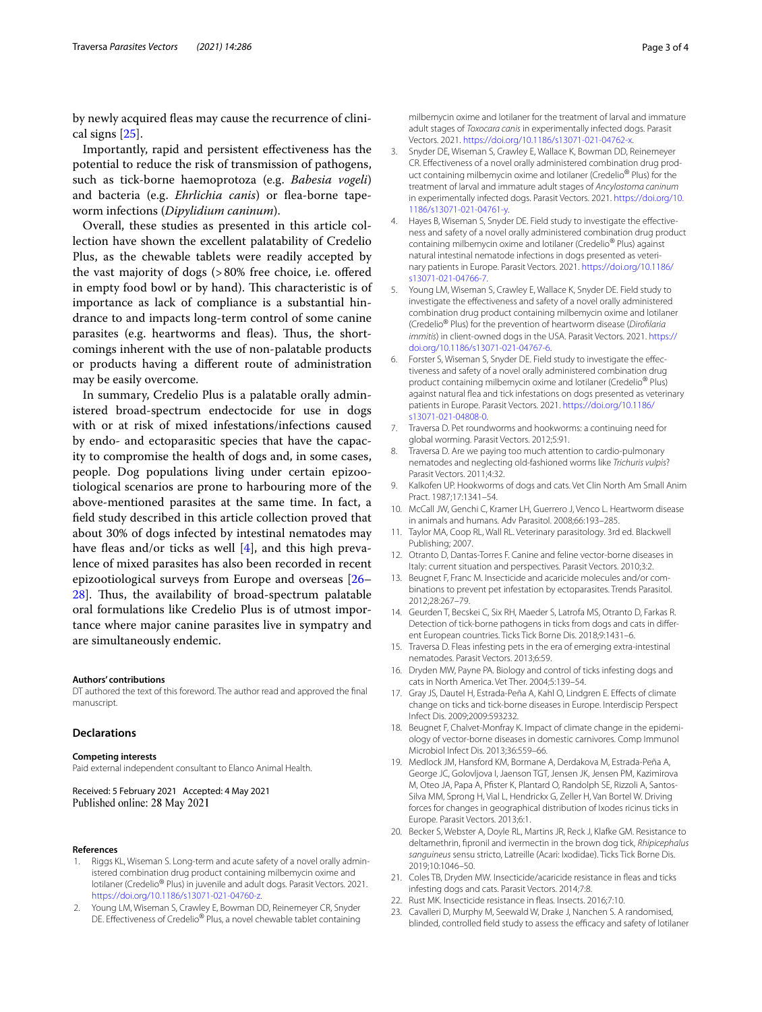by newly acquired fleas may cause the recurrence of clinical signs [[25](#page-3-1)].

Importantly, rapid and persistent efectiveness has the potential to reduce the risk of transmission of pathogens, such as tick-borne haemoprotoza (e.g. *Babesia vogeli*) and bacteria (e.g. *Ehrlichia canis*) or flea-borne tapeworm infections (*Dipylidium caninum*).

Overall, these studies as presented in this article collection have shown the excellent palatability of Credelio Plus, as the chewable tablets were readily accepted by the vast majority of dogs (>80% free choice, i.e. ofered in empty food bowl or by hand). This characteristic is of importance as lack of compliance is a substantial hindrance to and impacts long-term control of some canine parasites (e.g. heartworms and fleas). Thus, the shortcomings inherent with the use of non-palatable products or products having a diferent route of administration may be easily overcome.

In summary, Credelio Plus is a palatable orally administered broad-spectrum endectocide for use in dogs with or at risk of mixed infestations/infections caused by endo- and ectoparasitic species that have the capacity to compromise the health of dogs and, in some cases, people. Dog populations living under certain epizootiological scenarios are prone to harbouring more of the above-mentioned parasites at the same time. In fact, a feld study described in this article collection proved that about 30% of dogs infected by intestinal nematodes may have fleas and/or ticks as well  $[4]$  $[4]$ , and this high prevalence of mixed parasites has also been recorded in recent epizootiological surveys from Europe and overseas [[26–](#page-3-2) [28\]](#page-3-3). Thus, the availability of broad-spectrum palatable oral formulations like Credelio Plus is of utmost importance where major canine parasites live in sympatry and are simultaneously endemic.

#### **Authors' contributions**

DT authored the text of this foreword. The author read and approved the fnal manuscript.

## **Declarations**

#### **Competing interests**

Paid external independent consultant to Elanco Animal Health.

Received: 5 February 2021 Accepted: 4 May 2021 Published online: 28 May 2021

#### **References**

- <span id="page-2-0"></span>Riggs KL, Wiseman S. Long-term and acute safety of a novel orally administered combination drug product containing milbemycin oxime and lotilaner (Credelio® Plus) in juvenile and adult dogs. Parasit Vectors. 2021. [https://doi.org/10.1186/s13071-021-04760-z.](https://doi.org/10.1186/s13071-021-04760-z)
- <span id="page-2-1"></span>2. Young LM, Wiseman S, Crawley E, Bowman DD, Reinemeyer CR, Snyder DE. Effectiveness of Credelio<sup>®</sup> Plus, a novel chewable tablet containing

milbemycin oxime and lotilaner for the treatment of larval and immature adult stages of *Toxocara canis* in experimentally infected dogs. Parasit Vectors. 2021.<https://doi.org/10.1186/s13071-021-04762-x>.

- <span id="page-2-2"></span>3. Snyder DE, Wiseman S, Crawley E, Wallace K, Bowman DD, Reinemeyer CR. Efectiveness of a novel orally administered combination drug product containing milbemycin oxime and lotilaner (Credelio® Plus) for the treatment of larval and immature adult stages of *Ancylostoma caninum* in experimentally infected dogs. Parasit Vectors. 2021. [https://doi.org/10.](https://doi.org/10.1186/s13071-021-04761-y) [1186/s13071-021-04761-y](https://doi.org/10.1186/s13071-021-04761-y).
- <span id="page-2-3"></span>4. Hayes B, Wiseman S, Snyder DE. Field study to investigate the effectiveness and safety of a novel orally administered combination drug product containing milbemycin oxime and lotilaner (Credelio® Plus) against natural intestinal nematode infections in dogs presented as veterinary patients in Europe. Parasit Vectors. 2021. [https://doi.org/10.1186/](https://doi.org/10.1186/s13071-021-04766-7) [s13071-021-04766-7](https://doi.org/10.1186/s13071-021-04766-7).
- <span id="page-2-9"></span>5. Young LM, Wiseman S, Crawley E, Wallace K, Snyder DE. Field study to investigate the efectiveness and safety of a novel orally administered combination drug product containing milbemycin oxime and lotilaner (Credelio® Plus) for the prevention of heartworm disease (*Diroflaria immitis*) in client-owned dogs in the USA. Parasit Vectors. 2021. [https://](https://doi.org/10.1186/s13071-021-04767-6) [doi.org/10.1186/s13071-021-04767-6](https://doi.org/10.1186/s13071-021-04767-6).
- <span id="page-2-4"></span>6. Forster S, Wiseman S, Snyder DE. Field study to investigate the efectiveness and safety of a novel orally administered combination drug product containing milbemycin oxime and lotilaner (Credelio® Plus) against natural fea and tick infestations on dogs presented as veterinary patients in Europe. Parasit Vectors. 2021. [https://doi.org/10.1186/](https://doi.org/10.1186/s13071-021-04808-0) [s13071-021-04808-0](https://doi.org/10.1186/s13071-021-04808-0).
- <span id="page-2-5"></span>7. Traversa D. Pet roundworms and hookworms: a continuing need for global worming. Parasit Vectors. 2012;5:91.
- <span id="page-2-6"></span>8. Traversa D. Are we paying too much attention to cardio-pulmonary nematodes and neglecting old-fashioned worms like *Trichuris vulpis*? Parasit Vectors. 2011;4:32.
- <span id="page-2-7"></span>9. Kalkofen UP. Hookworms of dogs and cats. Vet Clin North Am Small Anim Pract. 1987;17:1341–54.
- <span id="page-2-8"></span>10. McCall JW, Genchi C, Kramer LH, Guerrero J, Venco L. Heartworm disease in animals and humans. Adv Parasitol. 2008;66:193–285.
- <span id="page-2-10"></span>11. Taylor MA, Coop RL, Wall RL. Veterinary parasitology. 3rd ed. Blackwell Publishing; 2007.
- <span id="page-2-13"></span>12. Otranto D, Dantas-Torres F. Canine and feline vector-borne diseases in Italy: current situation and perspectives. Parasit Vectors. 2010;3:2.
- <span id="page-2-19"></span>13. Beugnet F, Franc M. Insecticide and acaricide molecules and/or combinations to prevent pet infestation by ectoparasites. Trends Parasitol. 2012;28:267–79.
- <span id="page-2-11"></span>14. Geurden T, Becskei C, Six RH, Maeder S, Latrofa MS, Otranto D, Farkas R. Detection of tick-borne pathogens in ticks from dogs and cats in diferent European countries. Ticks Tick Borne Dis. 2018;9:1431–6.
- <span id="page-2-12"></span>15. Traversa D. Fleas infesting pets in the era of emerging extra-intestinal nematodes. Parasit Vectors. 2013;6:59.
- <span id="page-2-14"></span>16. Dryden MW, Payne PA. Biology and control of ticks infesting dogs and cats in North America. Vet Ther. 2004;5:139–54.
- <span id="page-2-15"></span>17. Gray JS, Dautel H, Estrada-Peña A, Kahl O, Lindgren E. Efects of climate change on ticks and tick-borne diseases in Europe. Interdiscip Perspect Infect Dis. 2009;2009:593232.
- 18. Beugnet F, Chalvet-Monfray K. Impact of climate change in the epidemiology of vector-borne diseases in domestic carnivores. Comp Immunol Microbiol Infect Dis. 2013;36:559–66.
- <span id="page-2-16"></span>19. Medlock JM, Hansford KM, Bormane A, Derdakova M, Estrada-Peña A, George JC, Golovljova I, Jaenson TGT, Jensen JK, Jensen PM, Kazimirova M, Oteo JA, Papa A, Pfster K, Plantard O, Randolph SE, Rizzoli A, Santos-Silva MM, Sprong H, Vial L, Hendrickx G, Zeller H, Van Bortel W. Driving forces for changes in geographical distribution of Ixodes ricinus ticks in Europe. Parasit Vectors. 2013;6:1.
- <span id="page-2-17"></span>20. Becker S, Webster A, Doyle RL, Martins JR, Reck J, Klafke GM. Resistance to deltamethrin, fpronil and ivermectin in the brown dog tick, *Rhipicephalus sanguineus* sensu stricto, Latreille (Acari: Ixodidae). Ticks Tick Borne Dis. 2019;10:1046–50.
- 21. Coles TB, Dryden MW. Insecticide/acaricide resistance in feas and ticks infesting dogs and cats. Parasit Vectors. 2014;7:8.
- <span id="page-2-18"></span>22. Rust MK. Insecticide resistance in feas. Insects. 2016;7:10.
- <span id="page-2-20"></span>23. Cavalleri D, Murphy M, Seewald W, Drake J, Nanchen S. A randomised, blinded, controlled field study to assess the efficacy and safety of lotilaner